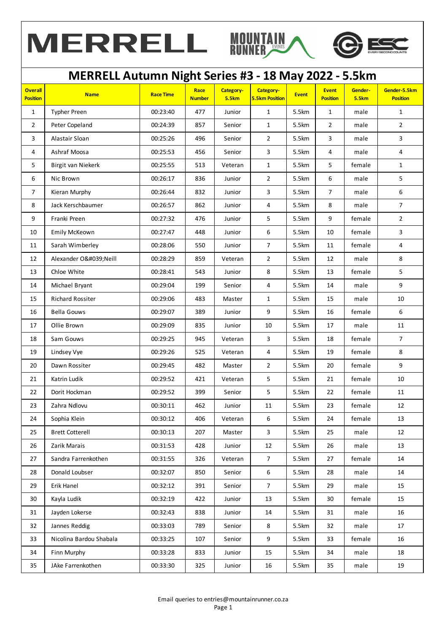



#### **Overall Position Name Race Time Race Number Category-5.5km Category-5.5km Position Event Event Position Gender-5.5km Gender-5.5km Position** 1 | Typher Preen | 00:23:40 | 477 | Junior | 1 | 5.5km | 1 | male | 1 2 Peter Copeland 1 00:24:39 857 Senior 1 5.5km 2 male 2 3 Alastair Sloan 00:25:26 496 Senior 2 5.5km 3 male 3 4 Ashraf Moosa 00:25:53 456 Senior 3 5.5km 4 male 4 5 | Birgit van Niekerk | 00:25:55 | 513 | Veteran | 1 | 5.5km | 5 | female | 1 6 Nic Brown 00:26:17 836 Junior 2 5.5km 6 male 5 7 Kieran Murphy 00:26:44 832 Junior 3 5.5km 7 male 6 8 Jack Kerschbaumer 1 00:26:57 862 Junior 1 4 5.5km 8 male 7 9 Franki Preen 00:27:32 476 Junior 5 5.5km 9 female 2 10 Emily McKeown 100:27:47 | 448 | Junior | 6 | 5.5km | 10 | female | 3 11 | Sarah Wimberley | 00:28:06 | 550 | Junior | 7 | 5.5km | 11 | female | 4 12 Alexander O'Neill | 00:28:29 | 859 | Veteran | 2 | 5.5km | 12 | male | 8 13 | Chloe White | 00:28:41 | 543 | Junior | 8 | 5.5km | 13 | female | 5 14 Michael Bryant 00:29:04 199 Senior 4 5.5km 14 male 9 15 Richard Rossiter 1 00:29:06 483 | Master | 1 | 5.5km | 15 | male | 10 16 Bella Gouws 00:29:07 389 Junior 9 5.5km 16 female 6 17 Ollie Brown 00:29:09 835 Junior 10 5.5km 17 male 11 18 | Sam Gouws | 00:29:25 945 | Veteran 3 | 5.5km | 18 | female | 7 19 | Lindsey Vye | 00:29:26 525 | Veteran 4 | 5.5km | 19 | female | 8 20 | Dawn Rossiter | 00:29:45 482 | Master 2 5.5km | 20 female 9 21 Katrin Ludik 00:29:52 421 Veteran 5 5.5km 21 female 10 22 Dorit Hockman 00:29:52 399 Senior 5 5.5km 22 female 11 23 Zahra Ndlovu 00:30:11 462 Junior 11 5.5km 23 female 12 24 Sophia Klein 00:30:12 406 Veteran 6 5.5km 24 female 13 25 Brett Cotterell 00:30:13 207 Master 3 5.5km 25 male 12 26 Zarik Marais 00:31:53 428 Junior 12 5.5km 26 male 13 27 Sandra Farrenkothen 1 00:31:55 326 Veteran 1 7 5.5km 27 female 14 28 Donald Loubser 00:32:07 850 Senior 6 5.5km 28 male 14 29 Erik Hanel 00:32:12 391 Senior 7 5.5km 29 male 15 30 Kayla Ludik 00:32:19 422 Junior 13 5.5km 30 female 15 31 Jayden Lokerse | 00:32:43 | 838 | Junior | 14 | 5.5km | 31 | male | 16 32 Jannes Reddig 00:33:03 789 Senior 8 5.5km 32 male 17 33 Nicolina Bardou Shabala 00:33:25 107 Senior 9 5.5km 33 female 16 34 Finn Murphy 00:33:28 833 Junior 15 5.5km 34 male 18 35 JAke Farrenkothen 1 00:33:30 325 Junior 1 16 5.5km 35 male 1 19 **MERRELL Autumn Night Series #3 - 18 May 2022 - 5.5km**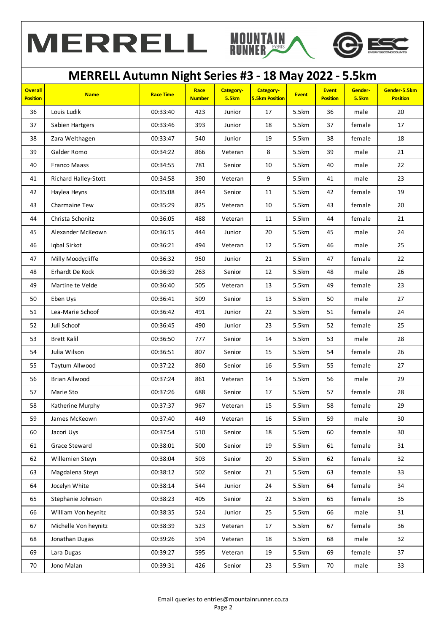





### **Overall Position Name Race Time Race Number Category-5.5km Category-5.5km Position Event Event Position Gender-5.5km Gender-5.5km Position MERRELL Autumn Night Series #3 - 18 May 2022 - 5.5km** 36 Louis Ludik 00:33:40 423 Junior 17 5.5km 36 male 20 37 Sabien Hartgers 100:33:46 | 393 | Junior | 18 | 5.5km | 37 | female | 17 38 Zara Welthagen 18 | 00:33:47 | 540 | Junior | 19 | 5.5km | 38 | female | 18 39 Galder Romo 00:34:22 866 Veteran 8 5.5km 39 male 21 40 Franco Maass 00:34:55 781 Senior 10 5.5km 40 male 22 41 Richard Halley-Stott | 00:34:58 | 390 | Veteran | 9 | 5.5km | 41 | male | 23 42 | Haylea Heyns | 00:35:08 | 844 | Senior | 11 | 5.5km | 42 | female | 19 43 | Charmaine Tew | 00:35:29 | 825 | Veteran | 10 | 5.5km | 43 | female | 20 44 Christa Schonitz 00:36:05 488 Veteran 11 5.5km 44 female 21 45 | Alexander McKeown | 00:36:15 | 444 | Junior | 20 | 5.5km | 45 | male | 24 46 Iqbal Sirkot 00:36:21 494 Veteran 12 5.5km 46 male 25 47 | Milly Moodycliffe | 00:36:32 | 950 | Junior | 21 | 5.5km | 47 | female | 22 48 | Erhardt De Kock | 00:36:39 | 263 | Senior | 12 | 5.5km | 48 | male | 26 49 Martine te Velde 00:36:40 505 Veteran 13 5.5km 49 female 23 50 Eben Uys 00:36:41 509 Senior 13 5.5km 50 male 27 51 Lea-Marie Schoof 00:36:42 491 Junior 22 5.5km 51 female 24 52 Juli Schoof 00:36:45 490 Junior 23 5.5km 52 female 25 53 Brett Kalil 00:36:50 777 Senior 14 5.5km 53 male 28 54 Julia Wilson 00:36:51 807 Senior 15 5.5km 54 female 26 55 Taytum Allwood 00:37:22 860 Senior 16 5.5km 55 female 27 56 Brian Allwood 00:37:24 861 Veteran 14 5.5km 56 male 29 57 Marie Sto 00:37:26 688 Senior 17 5.5km 57 female 28 58 Katherine Murphy 00:37:37 967 Veteran 15 5.5km 58 female 29 59 James McKeown 00:37:40 449 Veteran 16 5.5km 59 male 30 60 Jacori Uys 00:37:54 510 Senior 18 5.5km 60 female 30 61 | Grace Steward | 00:38:01 | 500 | Senior | 19 | 5.5km | 61 | female | 31 62 Willemien Steyn 00:38:04 503 Senior 20 5.5km 62 female 32 63 | Magdalena Steyn | 00:38:12 | 502 | Senior | 21 | 5.5km | 63 | female | 33 64 Jocelyn White 00:38:14 544 Junior 24 5.5km 64 female 34 65 Stephanie Johnson 00:38:23 405 Senior 22 5.5km 65 female 35 66 | William Von heynitz | 00:38:35 | 524 | Junior | 25 | 5.5km | 66 | male | 31 67 | Michelle Von heynitz | 00:38:39 | 523 | Veteran | 17 | 5.5km | 67 | female | 36

68 Jonathan Dugas 00:39:26 594 Veteran 18 5.5km 68 male 32 69 Lara Dugas 00:39:27 595 Veteran 19 5.5km 69 female 37 70 Jono Malan 00:39:31 426 Senior 23 5.5km 70 male 33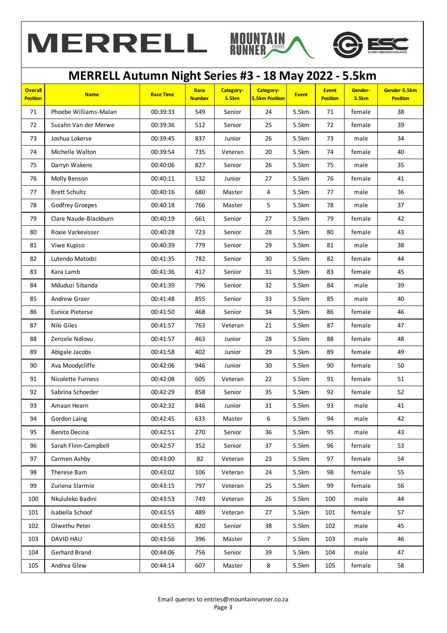



### **Overall Position Name Race Time Race Number Category-5.5km Category-5.5km Position Event Event Position Gender-5.5km Gender-5.5km Position MERRELL Autumn Night Series #3 - 18 May 2022 - 5.5km** 71 Phoebe Williams-Malan 00:39:33 549 Senior 24 5.5km 71 female 38 72 Suzahn Van der Merwe 00:39:36 512 Senior 25 5.5km 72 female 39 73 Joshua Lokerse | 00:39:45 | 837 | Junior | 26 | 5.5km | 73 | male | 34 74 | Michelle Walton | 00:39:54 | 735 | Veteran | 20 | 5.5km | 74 | female | 40 75 Darryn Wakens 00:40:06 827 Senior 26 5.5km 75 male 35 76 | Molly Benson | 00:40:11 | 132 | Junior | 27 | 5.5km | 76 | female | 41 77 Brett Schultz 00:40:16 680 Master 4 5.5km 77 male 36 78 Godfrey Groepes 100:40:18 766 | Master 1 5 | 5.5km | 78 | male 1 37 79 Clare Naude-Blackburn 1 00:40:19 661 Senior 27 5.5km 79 female 42 80 | Roxie Varkevisser | 00:40:28 | 723 | Senior | 28 | 5.5km | 80 | female | 43 81 Viwe Kupiso 00:40:39 779 Senior 29 5.5km 81 male 38 82 Lutendo Matodzi | 00:41:35 | 782 | Senior | 30 | 5.5km | 82 | female | 44 83 Kara Lamb 00:41:36 417 Senior 31 5.5km 83 female 45 84 Mduduzi Sibanda 00:41:39 796 Senior 32 5.5km 84 male 39 85 Andrew Graer 00:41:48 855 Senior 33 5.5km 85 male 40 86 | Eunice Pieterse | 00:41:50 | 468 | Senior | 34 | 5.5km | 86 | female | 46 87 Niki Giles 00:41:57 763 Veteran 21 5.5km 87 female 47 88 | Zenzele Ndlovu | 00:41:57 | 463 | Junior | 28 | 5.5km | 88 | female | 48 89 Abigale Jacobs 00:41:58 402 Junior 29 5.5km 89 female 49 90 Ava Moodycliffe 00:42:06 946 Junior 30 5.5km 90 female 50 91 Nicolette Furness 00:42:08 605 Veteran 22 5.5km 91 female 51 92 Sabrina Schoeder 1 00:42:29 858 Senior 35 5.5km 92 female 52 93 Amaan Hearn 00:42:32 846 Junior 31 5.5km 93 male 41 94 Gordon Laing 00:42:45 633 Master 6 5.5km 94 male 42 95 Benito Decina 00:42:51 270 Senior 36 5.5km 95 male 43 96 | Sarah Flinn-Campbell | 00:42:57 | 352 | Senior | 37 | 5.5km | 96 | female | 53 97 Carmen Ashby | 00:43:00 | 82 | Veteran | 23 | 5.5km | 97 | female | 54 98 Therese Bam 00:43:02 106 Veteran 24 5.5km 98 female 55 99 Zuriena Slarmie 00:43:15 797 Veteran 25 5.5km 99 female 56 100 Nkululeko Badini 00:43:53 749 Veteran 26 5.5km 100 male 44 101 | Isabella Schoof | 00:43:55 | 489 | Veteran | 27 | 5.5km | 101 | female | 57 102 Olwethu Peter 00:43:55 820 Senior 38 5.5km 102 male 45 103 | DAVID HAU | 00:43:56 | 396 | Master | 7 | 5.5km | 103 | male | 46 104 Gerhard Brand 00:44:06 756 Senior 39 5.5km 104 male 47 105 | Andrea Glew | 00:44:14 | 607 | Master | 8 | 5.5km | 105 | female | 58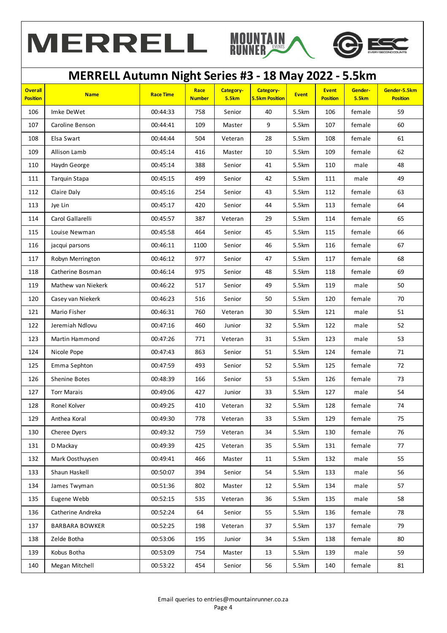





## **MERRELL Autumn Night Series #3 - 18 May 2022 - 5.5km**

| <b>Overall</b><br><b>Position</b> | <b>Name</b>           | <b>Race Time</b> | Race<br><b>Number</b> | Category-<br><b>5.5km</b> | Category-<br><b>5.5km Position</b> | <b>Event</b> | <b>Event</b><br><b>Position</b> | Gender-<br><b>5.5km</b> | Gender-5.5km<br><b>Position</b> |
|-----------------------------------|-----------------------|------------------|-----------------------|---------------------------|------------------------------------|--------------|---------------------------------|-------------------------|---------------------------------|
| 106                               | Imke DeWet            | 00:44:33         | 758                   | Senior                    | 40                                 | 5.5km        | 106                             | female                  | 59                              |
| 107                               | Caroline Benson       | 00:44:41         | 109                   | Master                    | 9                                  | 5.5km        | 107                             | female                  | 60                              |
| 108                               | Elsa Swart            | 00:44:44         | 504                   | Veteran                   | 28                                 | 5.5km        | 108                             | female                  | 61                              |
| 109                               | Allison Lamb          | 00:45:14         | 416                   | Master                    | 10                                 | 5.5km        | 109                             | female                  | 62                              |
| 110                               | Haydn George          | 00:45:14         | 388                   | Senior                    | 41                                 | 5.5km        | 110                             | male                    | 48                              |
| 111                               | Tarquin Stapa         | 00:45:15         | 499                   | Senior                    | 42                                 | 5.5km        | 111                             | male                    | 49                              |
| 112                               | Claire Daly           | 00:45:16         | 254                   | Senior                    | 43                                 | 5.5km        | 112                             | female                  | 63                              |
| 113                               | Jye Lin               | 00:45:17         | 420                   | Senior                    | 44                                 | 5.5km        | 113                             | female                  | 64                              |
| 114                               | Carol Gallarelli      | 00:45:57         | 387                   | Veteran                   | 29                                 | 5.5km        | 114                             | female                  | 65                              |
| 115                               | Louise Newman         | 00:45:58         | 464                   | Senior                    | 45                                 | 5.5km        | 115                             | female                  | 66                              |
| 116                               | jacqui parsons        | 00:46:11         | 1100                  | Senior                    | 46                                 | 5.5km        | 116                             | female                  | 67                              |
| 117                               | Robyn Merrington      | 00:46:12         | 977                   | Senior                    | 47                                 | 5.5km        | 117                             | female                  | 68                              |
| 118                               | Catherine Bosman      | 00:46:14         | 975                   | Senior                    | 48                                 | 5.5km        | 118                             | female                  | 69                              |
| 119                               | Mathew van Niekerk    | 00:46:22         | 517                   | Senior                    | 49                                 | 5.5km        | 119                             | male                    | 50                              |
| 120                               | Casey van Niekerk     | 00:46:23         | 516                   | Senior                    | 50                                 | 5.5km        | 120                             | female                  | 70                              |
| 121                               | Mario Fisher          | 00:46:31         | 760                   | Veteran                   | 30                                 | 5.5km        | 121                             | male                    | 51                              |
| 122                               | Jeremiah Ndlovu       | 00:47:16         | 460                   | Junior                    | 32                                 | 5.5km        | 122                             | male                    | 52                              |
| 123                               | Martin Hammond        | 00:47:26         | 771                   | Veteran                   | 31                                 | 5.5km        | 123                             | male                    | 53                              |
| 124                               | Nicole Pope           | 00:47:43         | 863                   | Senior                    | 51                                 | 5.5km        | 124                             | female                  | 71                              |
| 125                               | Emma Sephton          | 00:47:59         | 493                   | Senior                    | 52                                 | 5.5km        | 125                             | female                  | 72                              |
| 126                               | Shenine Botes         | 00:48:39         | 166                   | Senior                    | 53                                 | 5.5km        | 126                             | female                  | 73                              |
| 127                               | <b>Torr Marais</b>    | 00:49:06         | 427                   | Junior                    | 33                                 | 5.5km        | 127                             | male                    | 54                              |
| 128                               | Ronel Kolver          | 00:49:25         | 410                   | Veteran                   | 32                                 | 5.5km        | 128                             | female                  | 74                              |
| 129                               | Anthea Koral          | 00:49:30         | 778                   | Veteran                   | 33                                 | 5.5km        | 129                             | female                  | 75                              |
| 130                               | Cheree Dyers          | 00:49:32         | 759                   | Veteran                   | 34                                 | 5.5km        | 130                             | female                  | 76                              |
| 131                               | D Mackay              | 00:49:39         | 425                   | Veteran                   | 35                                 | 5.5km        | 131                             | female                  | 77                              |
| 132                               | Mark Oosthuysen       | 00:49:41         | 466                   | Master                    | 11                                 | 5.5km        | 132                             | male                    | 55                              |
| 133                               | Shaun Haskell         | 00:50:07         | 394                   | Senior                    | 54                                 | 5.5km        | 133                             | male                    | 56                              |
| 134                               | James Twyman          | 00:51:36         | 802                   | Master                    | 12                                 | 5.5km        | 134                             | male                    | 57                              |
| 135                               | Eugene Webb           | 00:52:15         | 535                   | Veteran                   | 36                                 | 5.5km        | 135                             | male                    | 58                              |
| 136                               | Catherine Andreka     | 00:52:24         | 64                    | Senior                    | 55                                 | 5.5km        | 136                             | female                  | 78                              |
| 137                               | <b>BARBARA BOWKER</b> | 00:52:25         | 198                   | Veteran                   | 37                                 | 5.5km        | 137                             | female                  | 79                              |
| 138                               | Zelde Botha           | 00:53:06         | 195                   | Junior                    | 34                                 | 5.5km        | 138                             | female                  | 80                              |
| 139                               | Kobus Botha           | 00:53:09         | 754                   | Master                    | 13                                 | 5.5km        | 139                             | male                    | 59                              |
| 140                               | Megan Mitchell        | 00:53:22         | 454                   | Senior                    | 56                                 | 5.5km        | 140                             | female                  | 81                              |